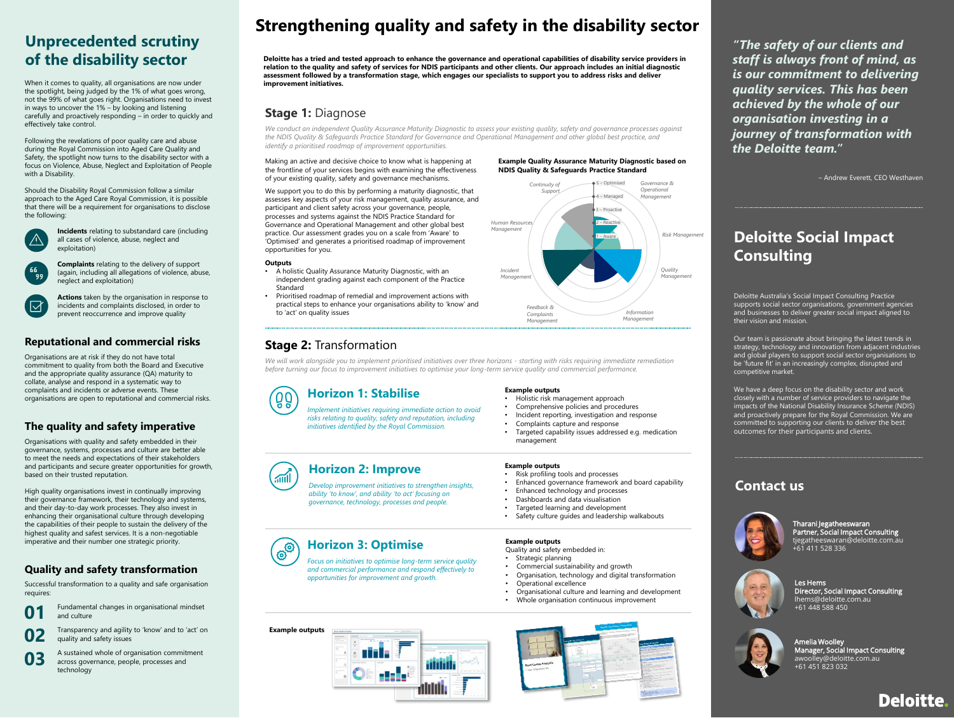## **Deloitte Social Impact Consulting**

Deloitte Australia's Social Impact Consulting Practice supports social sector organisations, government agencies and businesses to deliver greater social impact aligned to their vision and mission.

Our team is passionate about bringing the latest trends in strategy, technology and innovation from adjacent industries and global players to support social sector organisations to be 'future fit' in an increasingly complex, disrupted and competitive market.

We have a deep focus on the disability sector and work closely with a number of service providers to navigate the impacts of the National Disability Insurance Scheme (NDIS) and proactively prepare for the Royal Commission. We are committed to supporting our clients to deliver the best outcomes for their participants and clients.

# **Strengthening quality and safety in the disability sector**

## **Stage 2:** Transformation

## **Stage 1:** Diagnose

## **Horizon 1: Stabilise**

*Implement initiatives requiring immediate action to avoid risks relating to quality, safety and reputation, including initiatives identified by the Royal Commission.*

- Strategic planning
- Commercial sustainability and growth • Organisation, technology and digital transformation
- Operational excellence
- Organisational culture and learning and development
- Whole organisation continuous improvement



**Horizon 2: Improve**

*Develop improvement initiatives to strengthen insights, ability 'to know', and ability 'to act' focusing on governance, technology, processes and people.*

## **Horizon 3: Optimise**

*Focus on initiatives to optimise long-term service quality and commercial performance and respond effectively to opportunities for improvement and growth.*

**Example outputs**

• Holistic risk management approach • Comprehensive policies and procedures

#### • Incident reporting, investigation and response • Complaints capture and response

• Targeted capability issues addressed e.g. medication management

*We will work alongside you to implement prioritised initiatives over three horizons - starting with risks requiring immediate remediation before turning our focus to improvement initiatives to optimise your long-term service quality and commercial performance.*



#### **Example outputs**

Quality and safety embedded in:

**Example outputs**

• Risk profiling tools and processes

- Enhanced governance framework and board capability
- Enhanced technology and processes
- Dashboards and data visualisation • Targeted learning and development
- 
- Safety culture guides and leadership walkabouts

# (තු<sup>්</sup>

 $\sqrt{10}$ 

*We conduct an independent Quality Assurance Maturity Diagnostic to assess your existing quality, safety and governance processes against the NDIS Quality & Safeguards Practice Standard for Governance and Operational Management and other global best practice, and identify a prioritised roadmap of improvement opportunities.* 

Making an active and decisive choice to know what is happening at the frontline of your services begins with examining the effectiveness of your existing quality, safety and governance mechanisms.

We support you to do this by performing a maturity diagnostic, that assesses key aspects of your risk management, quality assurance, and participant and client safety across your governance, people, processes and systems against the NDIS Practice Standard for Governance and Operational Management and other global best practice. Our assessment grades you on a scale from 'Aware' to 'Optimised' and generates a prioritised roadmap of improvement opportunities for you.

#### **Outputs**

- A holistic Quality Assurance Maturity Diagnostic, with an independent grading against each component of the Practice Standard
- Prioritised roadmap of remedial and improvement actions with practical steps to enhance your organisations ability to 'know' and to 'act' on quality issues

#### **Example Quality Assurance Maturity Diagnostic based on NDIS Quality & Safeguards Practice Standard**



Les Hems

Director, Social Impact Consulting

lhems@deloitte.com.au +61 448 588 450

Tharani Jegatheeswaran Partner, Social Impact Consulting tjegatheeswaran@deloitte.com.au +61 411 528 336





### **Contact us**



– Andrew Everett, CEO Westhaven

**Example outputs**



**Deloitte has a tried and tested approach to enhance the governance and operational capabilities of disability service providers in relation to the quality and safety of services for NDIS participants and other clients. Our approach includes an initial diagnostic assessment followed by a transformation stage, which engages our specialists to support you to address risks and deliver improvement initiatives.** 

> Amelia Woolley Manager, Social Impact Consulting awoolley@deloitte.com.au +61 451 823 032



# **Unprecedented scrutiny of the disability sector**

When it comes to quality, all organisations are now under the spotlight, being judged by the 1% of what goes wrong, not the 99% of what goes right. Organisations need to invest in ways to uncover the 1% – by looking and listening carefully and proactively responding – in order to quickly and effectively take control.

Following the revelations of poor quality care and abuse during the Royal Commission into Aged Care Quality and Safety, the spotlight now turns to the disability sector with a focus on Violence, Abuse, Neglect and Exploitation of People with a Disability.

Should the Disability Royal Commission follow a similar approach to the Aged Care Royal Commission, it is possible that there will be a requirement for organisations to disclose the following:



**Incidents** relating to substandard care (including all cases of violence, abuse, neglect and exploitation)

**Complaints** relating to the delivery of support (again, including all allegations of violence, abuse, neglect and exploitation)



**Actions** taken by the organisation in response to incidents and complaints disclosed, in order to prevent reoccurrence and improve quality

## **Reputational and commercial risks**

Organisations are at risk if they do not have total commitment to quality from both the Board and Executive and the appropriate quality assurance (QA) maturity to collate, analyse and respond in a systematic way to complaints and incidents or adverse events. These organisations are open to reputational and commercial risks.

## **The quality and safety imperative**

Organisations with quality and safety embedded in their governance, systems, processes and culture are better able to meet the needs and expectations of their stakeholders and participants and secure greater opportunities for growth, based on their trusted reputation.

High quality organisations invest in continually improving their governance framework, their technology and systems, and their day-to-day work processes. They also invest in enhancing their organisational culture through developing the capabilities of their people to sustain the delivery of the highest quality and safest services. It is a non-negotiable imperative and their number one strategic priority.

## **Quality and safety transformation**

Successful transformation to a quality and safe organisation requires:

Fundamental changes in organisational mindset and culture **01**

Transparency and agility to 'know' and to 'act' on quality and safety issues **02**

A sustained whole of organisation commitment across governance, people, processes and technology **03**

*"The safety of our clients and staff is always front of mind, as is our commitment to delivering quality services. This has been achieved by the whole of our organisation investing in a journey of transformation with the Deloitte team."*